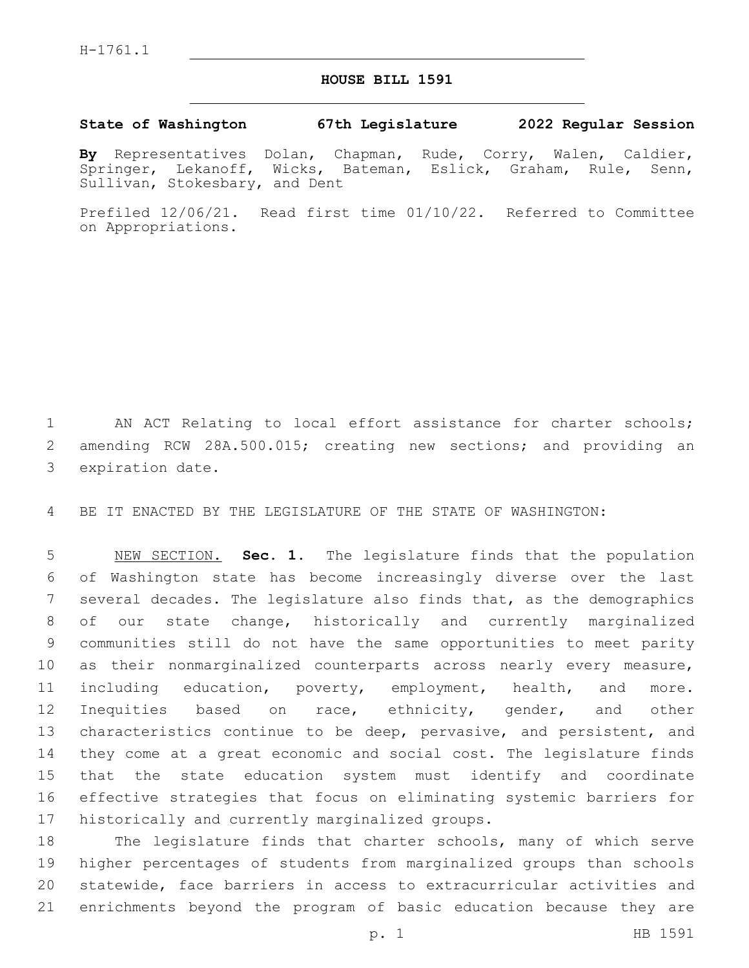## **HOUSE BILL 1591**

## **State of Washington 67th Legislature 2022 Regular Session**

**By** Representatives Dolan, Chapman, Rude, Corry, Walen, Caldier, Springer, Lekanoff, Wicks, Bateman, Eslick, Graham, Rule, Senn, Sullivan, Stokesbary, and Dent

Prefiled 12/06/21. Read first time 01/10/22. Referred to Committee on Appropriations.

 AN ACT Relating to local effort assistance for charter schools; amending RCW 28A.500.015; creating new sections; and providing an 3 expiration date.

BE IT ENACTED BY THE LEGISLATURE OF THE STATE OF WASHINGTON:

 NEW SECTION. **Sec. 1.** The legislature finds that the population of Washington state has become increasingly diverse over the last several decades. The legislature also finds that, as the demographics of our state change, historically and currently marginalized communities still do not have the same opportunities to meet parity as their nonmarginalized counterparts across nearly every measure, including education, poverty, employment, health, and more. Inequities based on race, ethnicity, gender, and other 13 characteristics continue to be deep, pervasive, and persistent, and they come at a great economic and social cost. The legislature finds that the state education system must identify and coordinate effective strategies that focus on eliminating systemic barriers for historically and currently marginalized groups.

 The legislature finds that charter schools, many of which serve higher percentages of students from marginalized groups than schools statewide, face barriers in access to extracurricular activities and enrichments beyond the program of basic education because they are

p. 1 HB 1591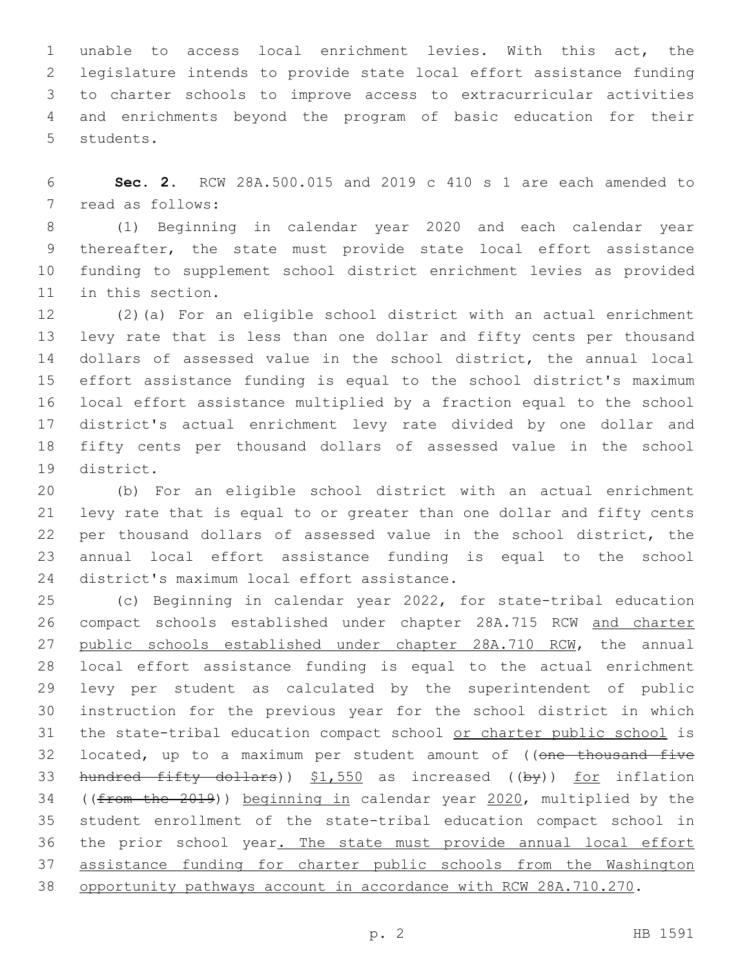unable to access local enrichment levies. With this act, the legislature intends to provide state local effort assistance funding to charter schools to improve access to extracurricular activities and enrichments beyond the program of basic education for their 5 students.

 **Sec. 2.** RCW 28A.500.015 and 2019 c 410 s 1 are each amended to 7 read as follows:

 (1) Beginning in calendar year 2020 and each calendar year thereafter, the state must provide state local effort assistance funding to supplement school district enrichment levies as provided 11 in this section.

 (2)(a) For an eligible school district with an actual enrichment levy rate that is less than one dollar and fifty cents per thousand dollars of assessed value in the school district, the annual local effort assistance funding is equal to the school district's maximum local effort assistance multiplied by a fraction equal to the school district's actual enrichment levy rate divided by one dollar and fifty cents per thousand dollars of assessed value in the school 19 district.

 (b) For an eligible school district with an actual enrichment levy rate that is equal to or greater than one dollar and fifty cents per thousand dollars of assessed value in the school district, the annual local effort assistance funding is equal to the school 24 district's maximum local effort assistance.

 (c) Beginning in calendar year 2022, for state-tribal education compact schools established under chapter 28A.715 RCW and charter 27 public schools established under chapter 28A.710 RCW, the annual local effort assistance funding is equal to the actual enrichment levy per student as calculated by the superintendent of public instruction for the previous year for the school district in which the state-tribal education compact school or charter public school is 32 located, up to a maximum per student amount of ((one thousand five 33 hundred fifty dollars))  $$1,550$  as increased ((by)) for inflation 34 ((from the 2019)) beginning in calendar year 2020, multiplied by the student enrollment of the state-tribal education compact school in 36 the prior school year. The state must provide annual local effort assistance funding for charter public schools from the Washington opportunity pathways account in accordance with RCW 28A.710.270.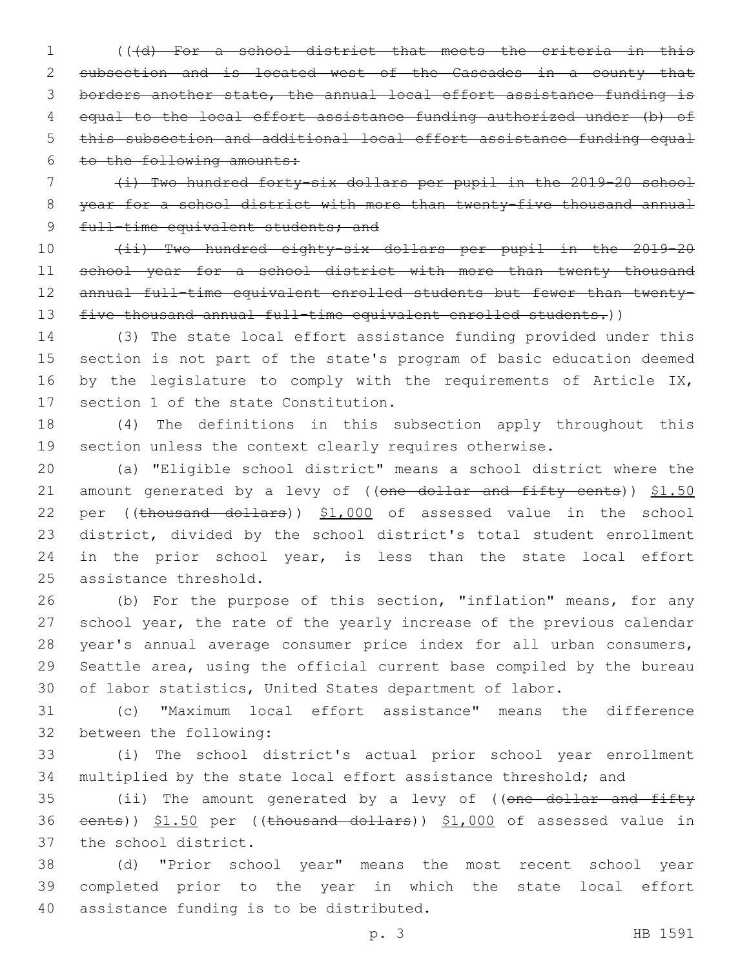(((d) For a school district that meets the criteria in this subsection and is located west of the Cascades in a county that borders another state, the annual local effort assistance funding is equal to the local effort assistance funding authorized under (b) of this subsection and additional local effort assistance funding equal to the following amounts:

 (i) Two hundred forty-six dollars per pupil in the 2019-20 school year for a school district with more than twenty-five thousand annual 9 full-time equivalent students; and

 (ii) Two hundred eighty-six dollars per pupil in the 2019-20 11 school year for a school district with more than twenty thousand 12 annual full-time equivalent enrolled students but fewer than twenty-13 five thousand annual full-time equivalent enrolled students.))

 (3) The state local effort assistance funding provided under this section is not part of the state's program of basic education deemed 16 by the legislature to comply with the requirements of Article IX, 17 section 1 of the state Constitution.

 (4) The definitions in this subsection apply throughout this section unless the context clearly requires otherwise.

 (a) "Eligible school district" means a school district where the 21 amount generated by a levy of ((one dollar and fifty cents)) \$1.50 22 per ((thousand dollars)) \$1,000 of assessed value in the school district, divided by the school district's total student enrollment 24 in the prior school year, is less than the state local effort 25 assistance threshold.

 (b) For the purpose of this section, "inflation" means, for any school year, the rate of the yearly increase of the previous calendar year's annual average consumer price index for all urban consumers, Seattle area, using the official current base compiled by the bureau of labor statistics, United States department of labor.

 (c) "Maximum local effort assistance" means the difference 32 between the following:

 (i) The school district's actual prior school year enrollment multiplied by the state local effort assistance threshold; and

35 (ii) The amount generated by a levy of ((one dollar and fifty 36 eents)) \$1.50 per ((thousand dollars)) \$1,000 of assessed value in 37 the school district.

 (d) "Prior school year" means the most recent school year completed prior to the year in which the state local effort 40 assistance funding is to be distributed.